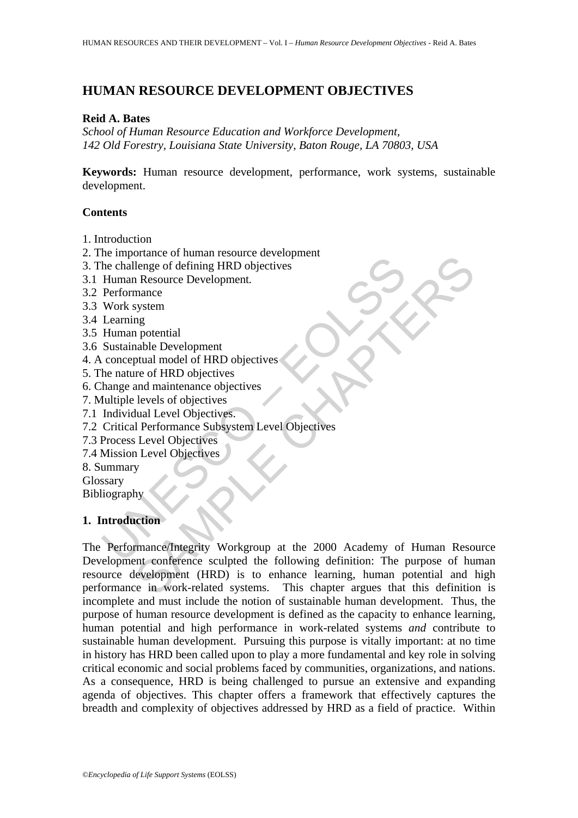# **HUMAN RESOURCE DEVELOPMENT OBJECTIVES**

#### **Reid A. Bates**

*School of Human Resource Education and Workforce Development, 142 Old Forestry, Louisiana State University, Baton Rouge, LA 70803, USA* 

**Keywords:** Human resource development, performance, work systems, sustainable development.

#### **Contents**

- 1. Introduction
- 2. The importance of human resource development
- 3. The challenge of defining HRD objectives
- 3.1 Human Resource Development*.*
- 3.2 Performance
- 3.3 Work system
- 3.4 Learning
- 3.5 Human potential
- 3.6 Sustainable Development
- 4. A conceptual model of HRD objectives
- 5. The nature of HRD objectives
- 6. Change and maintenance objectives
- 7. Multiple levels of objectives
- 7.1 Individual Level Objectives.
- 7.2 Critical Performance Subsystem Level Objectives
- 7.3 Process Level Objectives
- 7.4 Mission Level Objectives
- 8. Summary
- Glossary
- Bibliography

### **1. Introduction**

no importance or naminal issocial contents.<br>
The challenge of defining HRD objectives<br>
Human Resource Development.<br>
Learning<br>
Learning profiles are all the properties<br>
Learning profiles and maintenance objectives<br>
the natu For a main resolution and the control of the control of the control of the chapter<br>of defining HRD objectives<br>angly a potential<br>map<br>and maintenance objectives<br>the prevelopment<br>transformance objectives.<br>In the correct objec The Performance/Integrity Workgroup at the 2000 Academy of Human Resource Development conference sculpted the following definition: The purpose of human resource development (HRD) is to enhance learning, human potential and high performance in work-related systems. This chapter argues that this definition is incomplete and must include the notion of sustainable human development. Thus, the purpose of human resource development is defined as the capacity to enhance learning, human potential and high performance in work-related systems *and* contribute to sustainable human development. Pursuing this purpose is vitally important: at no time in history has HRD been called upon to play a more fundamental and key role in solving critical economic and social problems faced by communities, organizations, and nations. As a consequence, HRD is being challenged to pursue an extensive and expanding agenda of objectives. This chapter offers a framework that effectively captures the breadth and complexity of objectives addressed by HRD as a field of practice. Within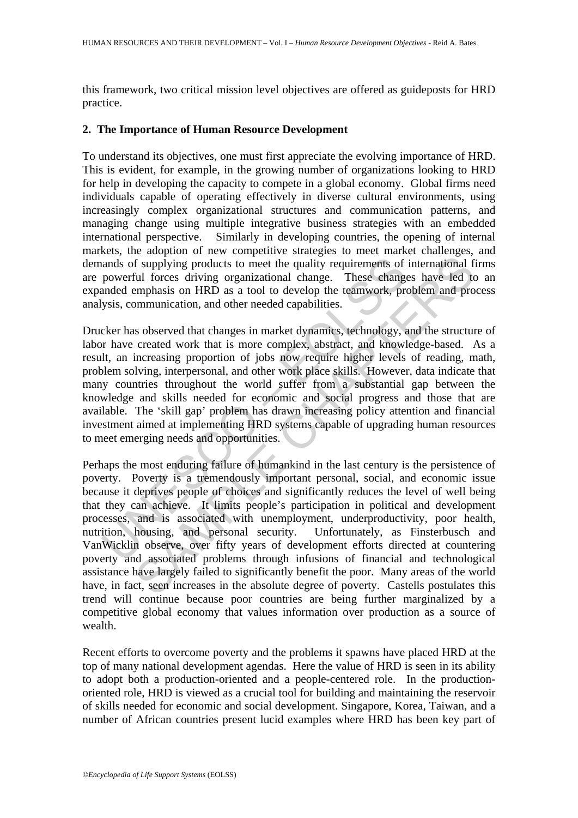this framework, two critical mission level objectives are offered as guideposts for HRD practice.

#### **2. The Importance of Human Resource Development**

To understand its objectives, one must first appreciate the evolving importance of HRD. This is evident, for example, in the growing number of organizations looking to HRD for help in developing the capacity to compete in a global economy. Global firms need individuals capable of operating effectively in diverse cultural environments, using increasingly complex organizational structures and communication patterns, and managing change using multiple integrative business strategies with an embedded international perspective. Similarly in developing countries, the opening of internal markets, the adoption of new competitive strategies to meet market challenges, and demands of supplying products to meet the quality requirements of international firms are powerful forces driving organizational change. These changes have led to an expanded emphasis on HRD as a tool to develop the teamwork, problem and process analysis, communication, and other needed capabilities.

ands of supplying products to meet the quality requirements of<br>powerful forces driving organizational change. These change<br>anded emphasis on HRD as a tool to develop the teamwork, pr<br>ysis, communication, and other needed c Drucker has observed that changes in market dynamics, technology, and the structure of labor have created work that is more complex, abstract, and knowledge-based. As a result, an increasing proportion of jobs now require higher levels of reading, math, problem solving, interpersonal, and other work place skills. However, data indicate that many countries throughout the world suffer from a substantial gap between the knowledge and skills needed for economic and social progress and those that are available. The 'skill gap' problem has drawn increasing policy attention and financial investment aimed at implementing HRD systems capable of upgrading human resources to meet emerging needs and opportunities.

f supplying products to meet the quality requirements of international f<br>in Frapplying products to meet the quality requirements of international<br>ful forces driving organizational change. These changes have led to<br>emphasis Perhaps the most enduring failure of humankind in the last century is the persistence of poverty. Poverty is a tremendously important personal, social, and economic issue because it deprives people of choices and significantly reduces the level of well being that they can achieve. It limits people's participation in political and development processes, and is associated with unemployment, underproductivity, poor health, nutrition, housing, and personal security. Unfortunately, as Finsterbusch and VanWicklin observe, over fifty years of development efforts directed at countering poverty and associated problems through infusions of financial and technological assistance have largely failed to significantly benefit the poor. Many areas of the world have, in fact, seen increases in the absolute degree of poverty. Castells postulates this trend will continue because poor countries are being further marginalized by a competitive global economy that values information over production as a source of wealth.

Recent efforts to overcome poverty and the problems it spawns have placed HRD at the top of many national development agendas. Here the value of HRD is seen in its ability to adopt both a production-oriented and a people-centered role. In the productionoriented role, HRD is viewed as a crucial tool for building and maintaining the reservoir of skills needed for economic and social development. Singapore, Korea, Taiwan, and a number of African countries present lucid examples where HRD has been key part of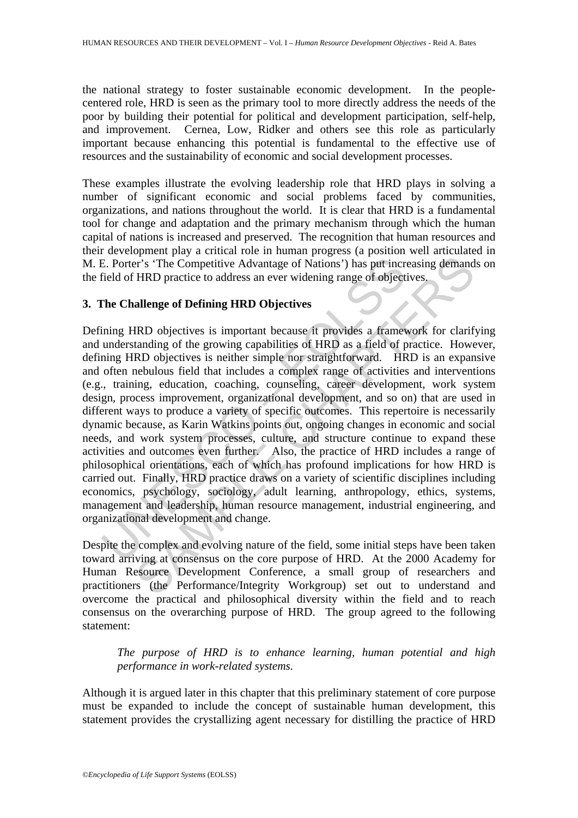the national strategy to foster sustainable economic development. In the peoplecentered role, HRD is seen as the primary tool to more directly address the needs of the poor by building their potential for political and development participation, self-help, and improvement. Cernea, Low, Ridker and others see this role as particularly important because enhancing this potential is fundamental to the effective use of resources and the sustainability of economic and social development processes.

These examples illustrate the evolving leadership role that HRD plays in solving a number of significant economic and social problems faced by communities, organizations, and nations throughout the world. It is clear that HRD is a fundamental tool for change and adaptation and the primary mechanism through which the human capital of nations is increased and preserved. The recognition that human resources and their development play a critical role in human progress (a position well articulated in M. E. Porter's 'The Competitive Advantage of Nations') has put increasing demands on the field of HRD practice to address an ever widening range of objectives.

# **3. The Challenge of Defining HRD Objectives**

E. Porter's 'The Competitive Advantage of Nations') has put increased and the Schemer's the Competitive Advantage of Nations') has put increased for HRD practice to address an ever widening range of object The Challenge of Fr's "The Competitive Advantage of Nations') has put increasing demand<br>Fr's "The Competitive Advantage of Nations') has put increasing demand<br>HRD objectives is important because it provides a framework for clarify<br>anding o Defining HRD objectives is important because it provides a framework for clarifying and understanding of the growing capabilities of HRD as a field of practice. However, defining HRD objectives is neither simple nor straightforward. HRD is an expansive and often nebulous field that includes a complex range of activities and interventions (e.g., training, education, coaching, counseling, career development, work system design, process improvement, organizational development, and so on) that are used in different ways to produce a variety of specific outcomes. This repertoire is necessarily dynamic because, as Karin Watkins points out, ongoing changes in economic and social needs, and work system processes, culture, and structure continue to expand these activities and outcomes even further. Also, the practice of HRD includes a range of philosophical orientations, each of which has profound implications for how HRD is carried out. Finally, HRD practice draws on a variety of scientific disciplines including economics, psychology, sociology, adult learning, anthropology, ethics, systems, management and leadership, human resource management, industrial engineering, and organizational development and change.

Despite the complex and evolving nature of the field, some initial steps have been taken toward arriving at consensus on the core purpose of HRD. At the 2000 Academy for Human Resource Development Conference, a small group of researchers and practitioners (the Performance/Integrity Workgroup) set out to understand and overcome the practical and philosophical diversity within the field and to reach consensus on the overarching purpose of HRD. The group agreed to the following statement:

*The purpose of HRD is to enhance learning, human potential and high performance in work-related systems.* 

Although it is argued later in this chapter that this preliminary statement of core purpose must be expanded to include the concept of sustainable human development, this statement provides the crystallizing agent necessary for distilling the practice of HRD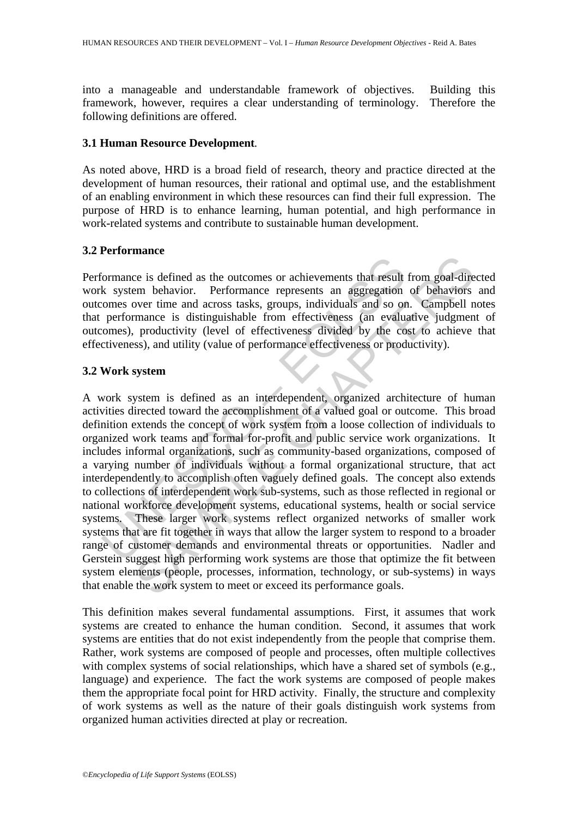into a manageable and understandable framework of objectives. Building this framework, however, requires a clear understanding of terminology. Therefore the following definitions are offered.

#### **3.1 Human Resource Development***.*

As noted above, HRD is a broad field of research, theory and practice directed at the development of human resources, their rational and optimal use, and the establishment of an enabling environment in which these resources can find their full expression. The purpose of HRD is to enhance learning, human potential, and high performance in work-related systems and contribute to sustainable human development.

### **3.2 Performance**

Performance is defined as the outcomes or achievements that result from goal-directed work system behavior. Performance represents an aggregation of behaviors and outcomes over time and across tasks, groups, individuals and so on. Campbell notes that performance is distinguishable from effectiveness (an evaluative judgment of outcomes), productivity (level of effectiveness divided by the cost to achieve that effectiveness), and utility (value of performance effectiveness or productivity).

# **3.2 Work system**

Formance is defined as the outcomes or achievements that result<br>
k system behavior. Performance represents an aggregation<br>
omes over time and across tasks, groups, individuals and so or<br>
performance is distinguishable from Example 1 as the outcomes or achievements that result from goal-direction<br>em behavior. Performance represents an aggregation of behaviors<br>over time and across tasks, groups, individuals and so on. Campbell n<br>mance is disti A work system is defined as an interdependent, organized architecture of human activities directed toward the accomplishment of a valued goal or outcome. This broad definition extends the concept of work system from a loose collection of individuals to organized work teams and formal for-profit and public service work organizations. It includes informal organizations, such as community-based organizations, composed of a varying number of individuals without a formal organizational structure, that act interdependently to accomplish often vaguely defined goals. The concept also extends to collections of interdependent work sub-systems, such as those reflected in regional or national workforce development systems, educational systems, health or social service systems. These larger work systems reflect organized networks of smaller work systems that are fit together in ways that allow the larger system to respond to a broader range of customer demands and environmental threats or opportunities. Nadler and Gerstein suggest high performing work systems are those that optimize the fit between system elements (people, processes, information, technology, or sub-systems) in ways that enable the work system to meet or exceed its performance goals.

This definition makes several fundamental assumptions. First, it assumes that work systems are created to enhance the human condition. Second, it assumes that work systems are entities that do not exist independently from the people that comprise them. Rather, work systems are composed of people and processes, often multiple collectives with complex systems of social relationships, which have a shared set of symbols (e.g., language) and experience. The fact the work systems are composed of people makes them the appropriate focal point for HRD activity. Finally, the structure and complexity of work systems as well as the nature of their goals distinguish work systems from organized human activities directed at play or recreation.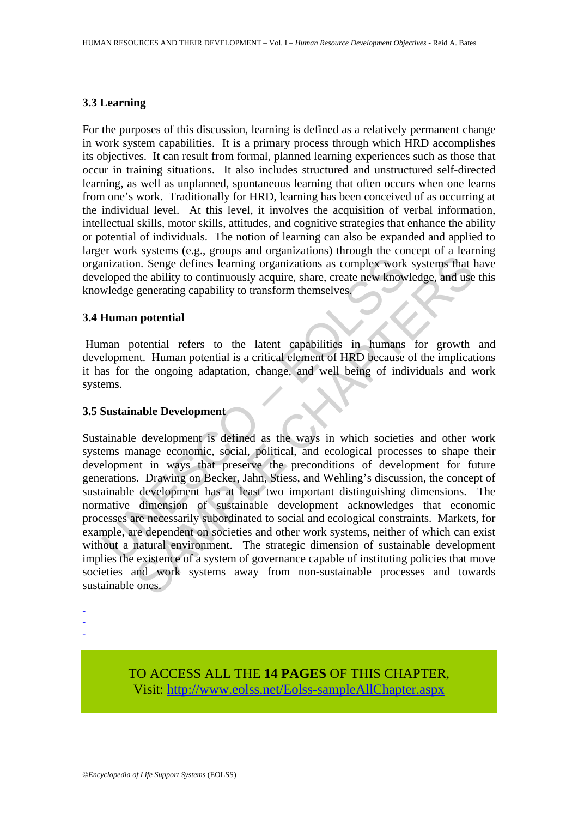### **3.3 Learning**

For the purposes of this discussion, learning is defined as a relatively permanent change in work system capabilities. It is a primary process through which HRD accomplishes its objectives. It can result from formal, planned learning experiences such as those that occur in training situations. It also includes structured and unstructured self-directed learning, as well as unplanned, spontaneous learning that often occurs when one learns from one's work. Traditionally for HRD, learning has been conceived of as occurring at the individual level. At this level, it involves the acquisition of verbal information, intellectual skills, motor skills, attitudes, and cognitive strategies that enhance the ability or potential of individuals. The notion of learning can also be expanded and applied to larger work systems (e.g., groups and organizations) through the concept of a learning organization. Senge defines learning organizations as complex work systems that have developed the ability to continuously acquire, share, create new knowledge, and use this knowledge generating capability to transform themselves.

### **3.4 Human potential**

 Human potential refers to the latent capabilities in humans for growth and development. Human potential is a critical element of HRD because of the implications it has for the ongoing adaptation, change, and well being of individuals and work systems.

# **3.5 Sustainable Development**

mization. Senge defines learning organizations as complex work<br>eloped the ability to continuously acquire, share, create new know<br>wledge generating capability to transform themselves.<br> **Human potential**<br>
man potential<br>
man In. Senge defines learning organizations as complex work systems that the ability to continuously acquire, share, create new knowledge, and use generating capability to transform themselves.<br> **a potential** obtential refers Sustainable development is defined as the ways in which societies and other work systems manage economic, social, political, and ecological processes to shape their development in ways that preserve the preconditions of development for future generations. Drawing on Becker, Jahn, Stiess, and Wehling's discussion, the concept of sustainable development has at least two important distinguishing dimensions. The normative dimension of sustainable development acknowledges that economic processes are necessarily subordinated to social and ecological constraints. Markets, for example, are dependent on societies and other work systems, neither of which can exist without a natural environment. The strategic dimension of sustainable development implies the existence of a system of governance capable of instituting policies that move societies and work systems away from non-sustainable processes and towards sustainable ones.

-

- -

> TO ACCESS ALL THE **14 PAGES** OF THIS CHAPTER, Visi[t: http://www.eolss.net/Eolss-sampleAllChapter.aspx](https://www.eolss.net/ebooklib/sc_cart.aspx?File=E1-10-02-02)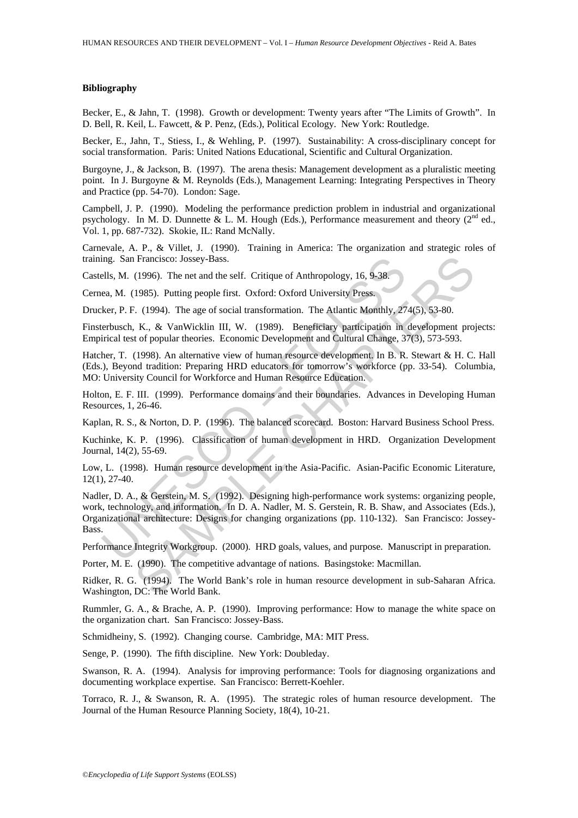#### **Bibliography**

Becker, E., & Jahn, T. (1998). Growth or development: Twenty years after "The Limits of Growth". In D. Bell, R. Keil, L. Fawcett, & P. Penz, (Eds.), Political Ecology. New York: Routledge.

Becker, E., Jahn, T., Stiess, I., & Wehling, P. (1997). Sustainability: A cross-disciplinary concept for social transformation. Paris: United Nations Educational, Scientific and Cultural Organization.

Burgoyne, J., & Jackson, B. (1997). The arena thesis: Management development as a pluralistic meeting point. In J. Burgoyne & M. Reynolds (Eds.), Management Learning: Integrating Perspectives in Theory and Practice (pp. 54-70). London: Sage.

Campbell, J. P. (1990). Modeling the performance prediction problem in industrial and organizational psychology. In M. D. Dunnette & L. M. Hough (Eds.), Performance measurement and theory ( $2<sup>nd</sup>$  ed., Vol. 1, pp. 687-732). Skokie, IL: Rand McNally.

Carnevale, A. P., & Villet, J. (1990). Training in America: The organization and strategic roles of training. San Francisco: Jossey-Bass.

Castells, M. (1996). The net and the self. Critique of Anthropology, 16, 9-38.

Cernea, M. (1985). Putting people first. Oxford: Oxford University Press.

Drucker, P. F. (1994). The age of social transformation. The Atlantic Monthly, 274(5), 53-80.

Finsterbusch, K., & VanWicklin III, W. (1989). Beneficiary participation in development projects: Empirical test of popular theories. Economic Development and Cultural Change, 37(3), 573-593.

Hatcher, T. (1998). An alternative view of human resource development. In B. R. Stewart & H. C. Hall (Eds.), Beyond tradition: Preparing HRD educators for tomorrow's workforce (pp. 33-54). Columbia, MO: University Council for Workforce and Human Resource Education.

Holton, E. F. III. (1999). Performance domains and their boundaries. Advances in Developing Human Resources, 1, 26-46.

Kaplan, R. S., & Norton, D. P. (1996). The balanced scorecard. Boston: Harvard Business School Press.

Kuchinke, K. P. (1996). Classification of human development in HRD. Organization Development Journal, 14(2), 55-69.

Low, L. (1998). Human resource development in the Asia-Pacific. Asian-Pacific Economic Literature, 12(1), 27-40.

ing. San Francisco: Jossey-Bass.<br>
Ells, M. (1996). The net and the self. Critique of Anthropology, 16, 9-38.<br>
ea, M. (1985). Putting people first. Oxford: Oxford University Press.<br>
ker, P. F. (1994). The age of social tran Francisco: Jossey-Bass.<br>
(1996). The net and the self. Critique of Anthropology, 16, 9-38.<br>
1985). Putting people first. Oxford: Oxford University Press.<br>
7. (1994). The age of social transformation. The Atlantic Monthly, Nadler, D. A., & Gerstein, M. S. (1992). Designing high-performance work systems: organizing people, work, technology, and information. In D. A. Nadler, M. S. Gerstein, R. B. Shaw, and Associates (Eds.), Organizational architecture: Designs for changing organizations (pp. 110-132). San Francisco: Jossey-Bass.

Performance Integrity Workgroup. (2000). HRD goals, values, and purpose. Manuscript in preparation.

Porter, M. E. (1990). The competitive advantage of nations. Basingstoke: Macmillan.

Ridker, R. G. (1994). The World Bank's role in human resource development in sub-Saharan Africa. Washington, DC: The World Bank.

Rummler, G. A., & Brache, A. P. (1990). Improving performance: How to manage the white space on the organization chart. San Francisco: Jossey-Bass.

Schmidheiny, S. (1992). Changing course. Cambridge, MA: MIT Press.

Senge, P. (1990). The fifth discipline. New York: Doubleday.

Swanson, R. A. (1994). Analysis for improving performance: Tools for diagnosing organizations and documenting workplace expertise. San Francisco: Berrett-Koehler.

Torraco, R. J., & Swanson, R. A. (1995). The strategic roles of human resource development. The Journal of the Human Resource Planning Society, 18(4), 10-21.